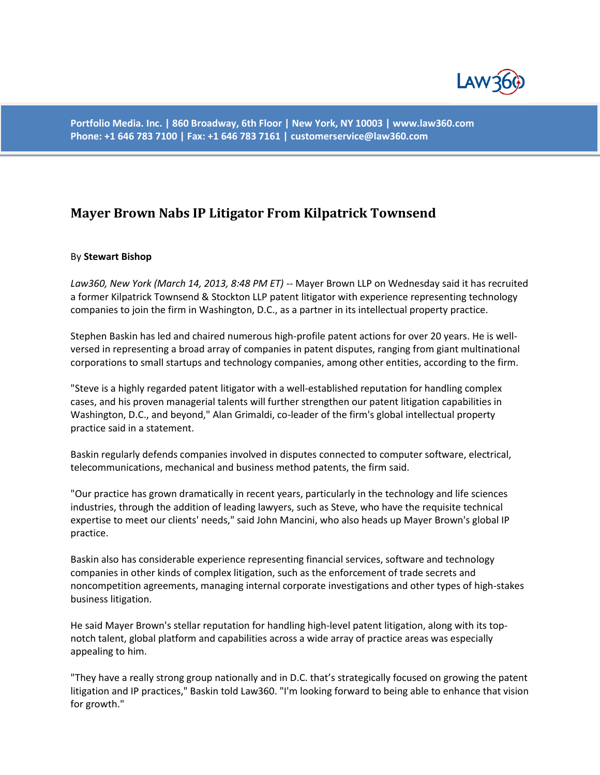

**Portfolio Media. Inc. | 860 Broadway, 6th Floor | New York, NY 10003 | www.law360.com Phone: +1 646 783 7100 | Fax: +1 646 783 7161 | customerservice@law360.com**

## **Mayer Brown Nabs IP Litigator From Kilpatrick Townsend**

## By **Stewart Bishop**

*Law360, New York (March 14, 2013, 8:48 PM ET)* -- Mayer Brown LLP on Wednesday said it has recruited a former Kilpatrick Townsend & Stockton LLP patent litigator with experience representing technology companies to join the firm in Washington, D.C., as a partner in its intellectual property practice.

Stephen Baskin has led and chaired numerous high-profile patent actions for over 20 years. He is wellversed in representing a broad array of companies in patent disputes, ranging from giant multinational corporations to small startups and technology companies, among other entities, according to the firm.

"Steve is a highly regarded patent litigator with a well-established reputation for handling complex cases, and his proven managerial talents will further strengthen our patent litigation capabilities in Washington, D.C., and beyond," Alan Grimaldi, co-leader of the firm's global intellectual property practice said in a statement.

Baskin regularly defends companies involved in disputes connected to computer software, electrical, telecommunications, mechanical and business method patents, the firm said.

"Our practice has grown dramatically in recent years, particularly in the technology and life sciences industries, through the addition of leading lawyers, such as Steve, who have the requisite technical expertise to meet our clients' needs," said John Mancini, who also heads up Mayer Brown's global IP practice.

Baskin also has considerable experience representing financial services, software and technology companies in other kinds of complex litigation, such as the enforcement of trade secrets and noncompetition agreements, managing internal corporate investigations and other types of high-stakes business litigation.

He said Mayer Brown's stellar reputation for handling high-level patent litigation, along with its topnotch talent, global platform and capabilities across a wide array of practice areas was especially appealing to him.

"They have a really strong group nationally and in D.C. that's strategically focused on growing the patent litigation and IP practices," Baskin told Law360. "I'm looking forward to being able to enhance that vision for growth."